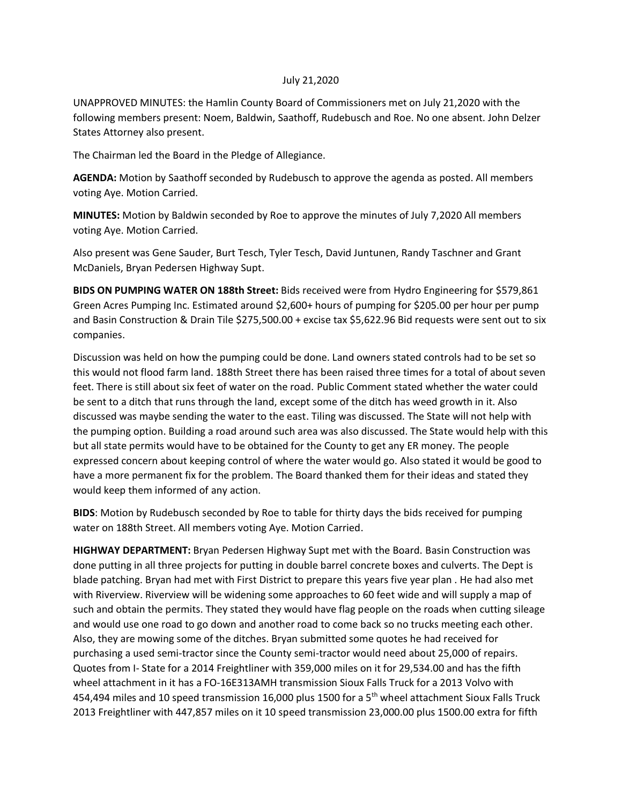### July 21,2020

UNAPPROVED MINUTES: the Hamlin County Board of Commissioners met on July 21,2020 with the following members present: Noem, Baldwin, Saathoff, Rudebusch and Roe. No one absent. John Delzer States Attorney also present.

The Chairman led the Board in the Pledge of Allegiance.

**AGENDA:** Motion by Saathoff seconded by Rudebusch to approve the agenda as posted. All members voting Aye. Motion Carried.

**MINUTES:** Motion by Baldwin seconded by Roe to approve the minutes of July 7,2020 All members voting Aye. Motion Carried.

Also present was Gene Sauder, Burt Tesch, Tyler Tesch, David Juntunen, Randy Taschner and Grant McDaniels, Bryan Pedersen Highway Supt.

**BIDS ON PUMPING WATER ON 188th Street:** Bids received were from Hydro Engineering for \$579,861 Green Acres Pumping Inc. Estimated around \$2,600+ hours of pumping for \$205.00 per hour per pump and Basin Construction & Drain Tile \$275,500.00 + excise tax \$5,622.96 Bid requests were sent out to six companies.

Discussion was held on how the pumping could be done. Land owners stated controls had to be set so this would not flood farm land. 188th Street there has been raised three times for a total of about seven feet. There is still about six feet of water on the road. Public Comment stated whether the water could be sent to a ditch that runs through the land, except some of the ditch has weed growth in it. Also discussed was maybe sending the water to the east. Tiling was discussed. The State will not help with the pumping option. Building a road around such area was also discussed. The State would help with this but all state permits would have to be obtained for the County to get any ER money. The people expressed concern about keeping control of where the water would go. Also stated it would be good to have a more permanent fix for the problem. The Board thanked them for their ideas and stated they would keep them informed of any action.

**BIDS**: Motion by Rudebusch seconded by Roe to table for thirty days the bids received for pumping water on 188th Street. All members voting Aye. Motion Carried.

**HIGHWAY DEPARTMENT:** Bryan Pedersen Highway Supt met with the Board. Basin Construction was done putting in all three projects for putting in double barrel concrete boxes and culverts. The Dept is blade patching. Bryan had met with First District to prepare this years five year plan . He had also met with Riverview. Riverview will be widening some approaches to 60 feet wide and will supply a map of such and obtain the permits. They stated they would have flag people on the roads when cutting sileage and would use one road to go down and another road to come back so no trucks meeting each other. Also, they are mowing some of the ditches. Bryan submitted some quotes he had received for purchasing a used semi-tractor since the County semi-tractor would need about 25,000 of repairs. Quotes from I- State for a 2014 Freightliner with 359,000 miles on it for 29,534.00 and has the fifth wheel attachment in it has a FO-16E313AMH transmission Sioux Falls Truck for a 2013 Volvo with 454,494 miles and 10 speed transmission 16,000 plus 1500 for a 5<sup>th</sup> wheel attachment Sioux Falls Truck 2013 Freightliner with 447,857 miles on it 10 speed transmission 23,000.00 plus 1500.00 extra for fifth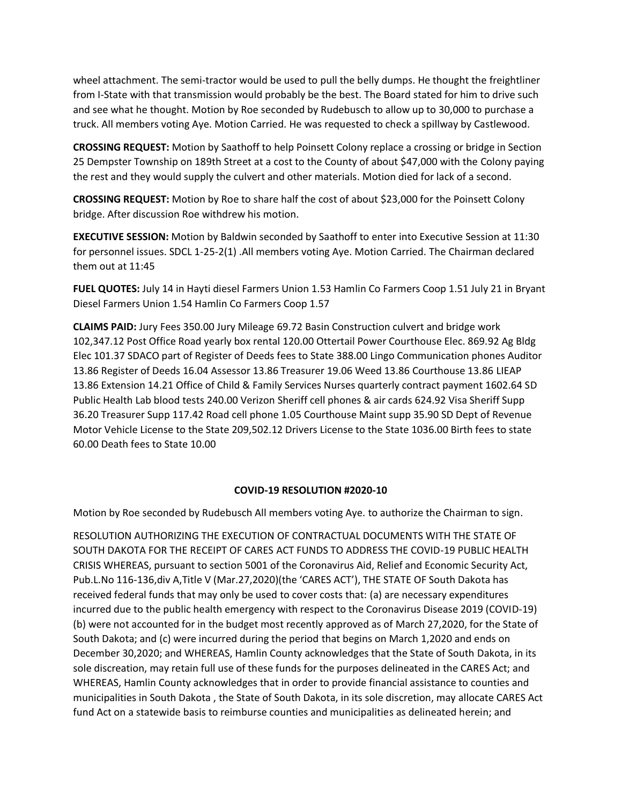wheel attachment. The semi-tractor would be used to pull the belly dumps. He thought the freightliner from I-State with that transmission would probably be the best. The Board stated for him to drive such and see what he thought. Motion by Roe seconded by Rudebusch to allow up to 30,000 to purchase a truck. All members voting Aye. Motion Carried. He was requested to check a spillway by Castlewood.

**CROSSING REQUEST:** Motion by Saathoff to help Poinsett Colony replace a crossing or bridge in Section 25 Dempster Township on 189th Street at a cost to the County of about \$47,000 with the Colony paying the rest and they would supply the culvert and other materials. Motion died for lack of a second.

**CROSSING REQUEST:** Motion by Roe to share half the cost of about \$23,000 for the Poinsett Colony bridge. After discussion Roe withdrew his motion.

**EXECUTIVE SESSION:** Motion by Baldwin seconded by Saathoff to enter into Executive Session at 11:30 for personnel issues. SDCL 1-25-2(1) .All members voting Aye. Motion Carried. The Chairman declared them out at 11:45

**FUEL QUOTES:** July 14 in Hayti diesel Farmers Union 1.53 Hamlin Co Farmers Coop 1.51 July 21 in Bryant Diesel Farmers Union 1.54 Hamlin Co Farmers Coop 1.57

**CLAIMS PAID:** Jury Fees 350.00 Jury Mileage 69.72 Basin Construction culvert and bridge work 102,347.12 Post Office Road yearly box rental 120.00 Ottertail Power Courthouse Elec. 869.92 Ag Bldg Elec 101.37 SDACO part of Register of Deeds fees to State 388.00 Lingo Communication phones Auditor 13.86 Register of Deeds 16.04 Assessor 13.86 Treasurer 19.06 Weed 13.86 Courthouse 13.86 LIEAP 13.86 Extension 14.21 Office of Child & Family Services Nurses quarterly contract payment 1602.64 SD Public Health Lab blood tests 240.00 Verizon Sheriff cell phones & air cards 624.92 Visa Sheriff Supp 36.20 Treasurer Supp 117.42 Road cell phone 1.05 Courthouse Maint supp 35.90 SD Dept of Revenue Motor Vehicle License to the State 209,502.12 Drivers License to the State 1036.00 Birth fees to state 60.00 Death fees to State 10.00

### **COVID-19 RESOLUTION #2020-10**

Motion by Roe seconded by Rudebusch All members voting Aye. to authorize the Chairman to sign.

RESOLUTION AUTHORIZING THE EXECUTION OF CONTRACTUAL DOCUMENTS WITH THE STATE OF SOUTH DAKOTA FOR THE RECEIPT OF CARES ACT FUNDS TO ADDRESS THE COVID-19 PUBLIC HEALTH CRISIS WHEREAS, pursuant to section 5001 of the Coronavirus Aid, Relief and Economic Security Act, Pub.L.No 116-136,div A,Title V (Mar.27,2020)(the 'CARES ACT'), THE STATE OF South Dakota has received federal funds that may only be used to cover costs that: (a) are necessary expenditures incurred due to the public health emergency with respect to the Coronavirus Disease 2019 (COVID-19) (b) were not accounted for in the budget most recently approved as of March 27,2020, for the State of South Dakota; and (c) were incurred during the period that begins on March 1,2020 and ends on December 30,2020; and WHEREAS, Hamlin County acknowledges that the State of South Dakota, in its sole discreation, may retain full use of these funds for the purposes delineated in the CARES Act; and WHEREAS, Hamlin County acknowledges that in order to provide financial assistance to counties and municipalities in South Dakota , the State of South Dakota, in its sole discretion, may allocate CARES Act fund Act on a statewide basis to reimburse counties and municipalities as delineated herein; and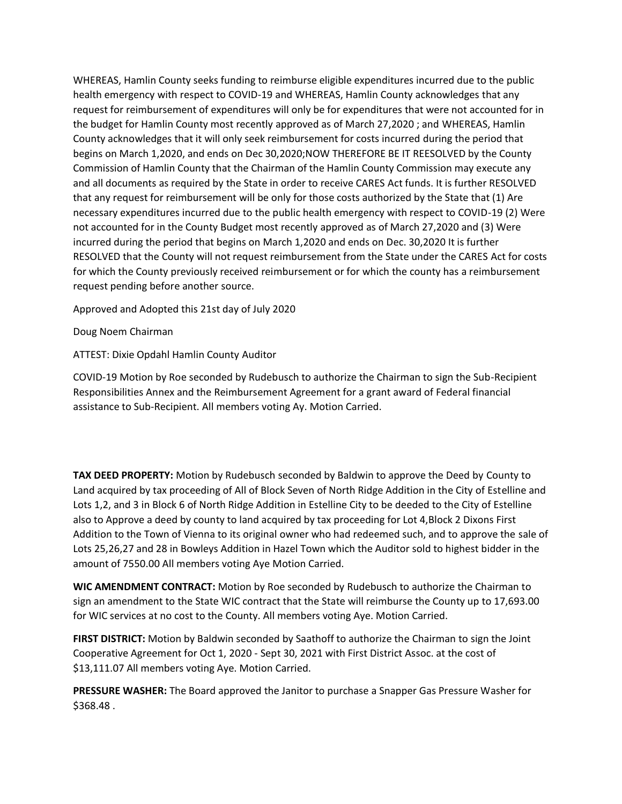WHEREAS, Hamlin County seeks funding to reimburse eligible expenditures incurred due to the public health emergency with respect to COVID-19 and WHEREAS, Hamlin County acknowledges that any request for reimbursement of expenditures will only be for expenditures that were not accounted for in the budget for Hamlin County most recently approved as of March 27,2020 ; and WHEREAS, Hamlin County acknowledges that it will only seek reimbursement for costs incurred during the period that begins on March 1,2020, and ends on Dec 30,2020;NOW THEREFORE BE IT REESOLVED by the County Commission of Hamlin County that the Chairman of the Hamlin County Commission may execute any and all documents as required by the State in order to receive CARES Act funds. It is further RESOLVED that any request for reimbursement will be only for those costs authorized by the State that (1) Are necessary expenditures incurred due to the public health emergency with respect to COVID-19 (2) Were not accounted for in the County Budget most recently approved as of March 27,2020 and (3) Were incurred during the period that begins on March 1,2020 and ends on Dec. 30,2020 It is further RESOLVED that the County will not request reimbursement from the State under the CARES Act for costs for which the County previously received reimbursement or for which the county has a reimbursement request pending before another source.

Approved and Adopted this 21st day of July 2020

Doug Noem Chairman

ATTEST: Dixie Opdahl Hamlin County Auditor

COVID-19 Motion by Roe seconded by Rudebusch to authorize the Chairman to sign the Sub-Recipient Responsibilities Annex and the Reimbursement Agreement for a grant award of Federal financial assistance to Sub-Recipient. All members voting Ay. Motion Carried.

**TAX DEED PROPERTY:** Motion by Rudebusch seconded by Baldwin to approve the Deed by County to Land acquired by tax proceeding of All of Block Seven of North Ridge Addition in the City of Estelline and Lots 1,2, and 3 in Block 6 of North Ridge Addition in Estelline City to be deeded to the City of Estelline also to Approve a deed by county to land acquired by tax proceeding for Lot 4,Block 2 Dixons First Addition to the Town of Vienna to its original owner who had redeemed such, and to approve the sale of Lots 25,26,27 and 28 in Bowleys Addition in Hazel Town which the Auditor sold to highest bidder in the amount of 7550.00 All members voting Aye Motion Carried.

**WIC AMENDMENT CONTRACT:** Motion by Roe seconded by Rudebusch to authorize the Chairman to sign an amendment to the State WIC contract that the State will reimburse the County up to 17,693.00 for WIC services at no cost to the County. All members voting Aye. Motion Carried.

**FIRST DISTRICT:** Motion by Baldwin seconded by Saathoff to authorize the Chairman to sign the Joint Cooperative Agreement for Oct 1, 2020 - Sept 30, 2021 with First District Assoc. at the cost of \$13,111.07 All members voting Aye. Motion Carried.

**PRESSURE WASHER:** The Board approved the Janitor to purchase a Snapper Gas Pressure Washer for \$368.48 .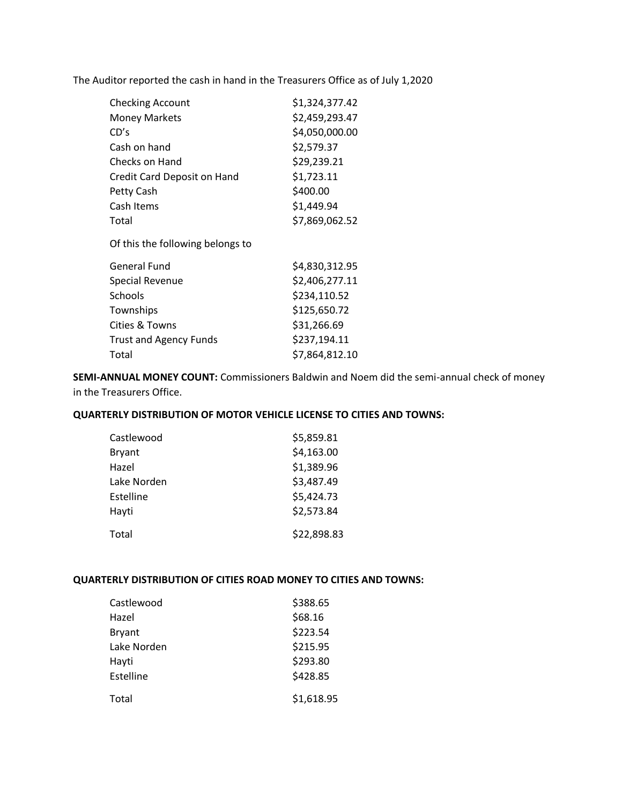The Auditor reported the cash in hand in the Treasurers Office as of July 1,2020

| <b>Checking Account</b>          | \$1,324,377.42 |
|----------------------------------|----------------|
| <b>Money Markets</b>             | \$2,459,293.47 |
| CD's                             | \$4,050,000.00 |
| Cash on hand                     | \$2,579.37     |
| Checks on Hand                   | \$29,239.21    |
| Credit Card Deposit on Hand      | \$1,723.11     |
| Petty Cash                       | \$400.00       |
| Cash Items                       | \$1,449.94     |
| Total                            | \$7,869,062.52 |
| Of this the following belongs to |                |
| General Fund                     | \$4,830,312.95 |
| <b>Special Revenue</b>           | \$2,406,277.11 |
| Schools                          | \$234,110.52   |
| Townships                        | \$125,650.72   |
| Cities & Towns                   | \$31,266.69    |
| <b>Trust and Agency Funds</b>    | \$237,194.11   |
| Total                            | \$7,864,812.10 |

**SEMI-ANNUAL MONEY COUNT:** Commissioners Baldwin and Noem did the semi-annual check of money in the Treasurers Office.

# **QUARTERLY DISTRIBUTION OF MOTOR VEHICLE LICENSE TO CITIES AND TOWNS:**

| Castlewood    | \$5,859.81  |
|---------------|-------------|
| <b>Bryant</b> | \$4,163.00  |
| Hazel         | \$1,389.96  |
| Lake Norden   | \$3,487.49  |
| Estelline     | \$5,424.73  |
| Hayti         | \$2,573.84  |
| Total         | \$22,898.83 |

## **QUARTERLY DISTRIBUTION OF CITIES ROAD MONEY TO CITIES AND TOWNS:**

| Castlewood    | \$388.65   |
|---------------|------------|
| Hazel         | \$68.16    |
| <b>Bryant</b> | \$223.54   |
| Lake Norden   | \$215.95   |
| Hayti         | \$293.80   |
| Estelline     | \$428.85   |
| Total         | \$1,618.95 |